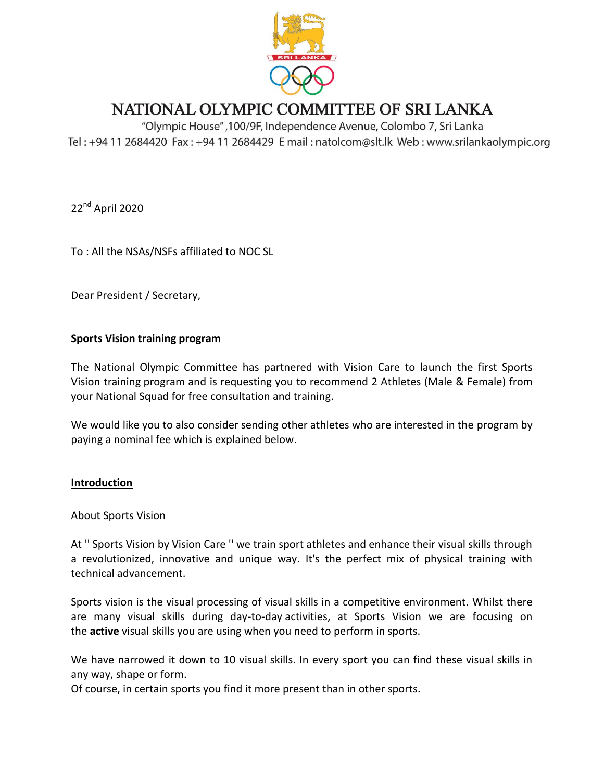

# NATIONAL OLYMPIC COMMITTEE OF SRI LANKA

"Olympic House", 100/9F, Independence Avenue, Colombo 7, Sri Lanka Tel: +94 11 2684420 Fax: +94 11 2684429 E mail: natolcom@slt.lk Web: www.srilankaolympic.org

22<sup>nd</sup> April 2020

To : All the NSAs/NSFs affiliated to NOC SL

Dear President / Secretary,

### **Sports Vision training program**

The National Olympic Committee has partnered with Vision Care to launch the first Sports Vision training program and is requesting you to recommend 2 Athletes (Male & Female) from your National Squad for free consultation and training.

We would like you to also consider sending other athletes who are interested in the program by paying a nominal fee which is explained below.

# **Introduction**

### About Sports Vision

At '' Sports Vision by Vision Care '' we train sport athletes and enhance their visual skills through a revolutionized, innovative and unique way. It's the perfect mix of physical training with technical advancement.

Sports vision is the visual processing of visual skills in a competitive environment. Whilst there are many visual skills during day-to-day activities, at Sports Vision we are focusing on the **active** visual skills you are using when you need to perform in sports.

We have narrowed it down to 10 visual skills. In every sport you can find these visual skills in any way, shape or form.

Of course, in certain sports you find it more present than in other sports.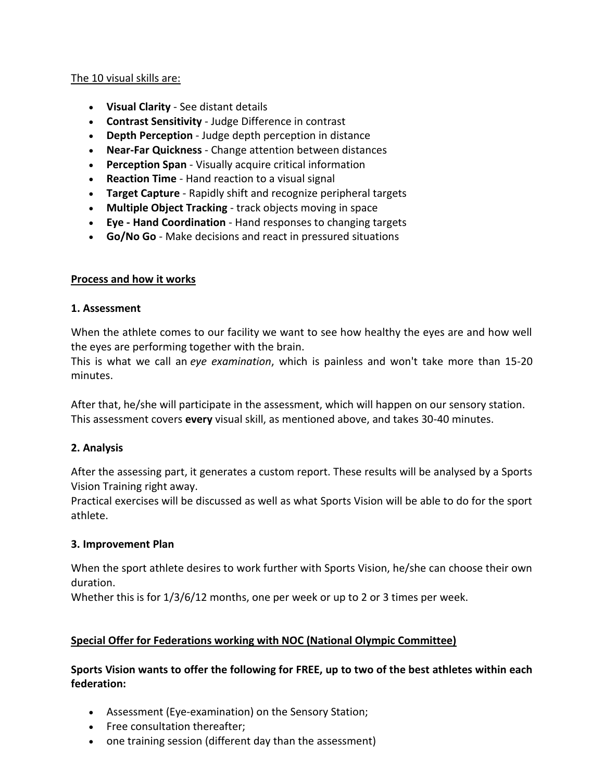## The 10 visual skills are:

- **Visual Clarity** See distant details
- **Contrast Sensitivity** Judge Difference in contrast
- **Depth Perception** Judge depth perception in distance
- **Near-Far Quickness** Change attention between distances
- **Perception Span** Visually acquire critical information
- **Reaction Time** Hand reaction to a visual signal
- **Target Capture** Rapidly shift and recognize peripheral targets
- **Multiple Object Tracking** track objects moving in space
- **Eye - Hand Coordination** Hand responses to changing targets
- **Go/No Go** Make decisions and react in pressured situations

## **Process and how it works**

## **1. Assessment**

When the athlete comes to our facility we want to see how healthy the eyes are and how well the eyes are performing together with the brain.

This is what we call an *eye examination*, which is painless and won't take more than 15-20 minutes.

After that, he/she will participate in the assessment, which will happen on our sensory station. This assessment covers **every** visual skill, as mentioned above, and takes 30-40 minutes.

# **2. Analysis**

After the assessing part, it generates a custom report. These results will be analysed by a Sports Vision Training right away.

Practical exercises will be discussed as well as what Sports Vision will be able to do for the sport athlete.

### **3. Improvement Plan**

When the sport athlete desires to work further with Sports Vision, he/she can choose their own duration.

Whether this is for  $1/3/6/12$  months, one per week or up to 2 or 3 times per week.

# **Special Offer for Federations working with NOC (National Olympic Committee)**

# **Sports Vision wants to offer the following for FREE, up to two of the best athletes within each federation:**

- Assessment (Eye-examination) on the Sensory Station;
- Free consultation thereafter;
- one training session (different day than the assessment)